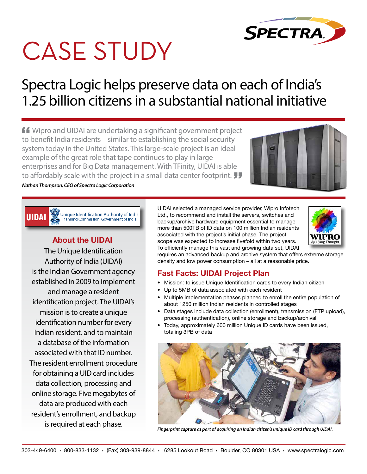

# CASE STUDY

# Spectra Logic helps preserve data on each of India's 1.25 billion citizens in a substantial national initiative

**ff** Wipro and UIDAI are undertaking a significant government project to benefit India residents – similar to establishing the social security system today in the United States. This large-scale project is an ideal example of the great role that tape continues to play in large enterprises and for Big Data management. With TFinity, UIDAI is able to affordably scale with the project in a small data center footprint.  $JJ$ 

#### *Nathan Thompson, CEO of Spectra Logic Corporation*

**UIDAI** Unique Identification Authority of India Planning Commission, Government of India

### **About the UIDAI**

The Unique Identification Authority of India (UIDAI) is the Indian Government agency established in 2009 to implement and manage a resident identification project. The UIDAI's mission is to create a unique identification number for every Indian resident, and to maintain a database of the information associated with that ID number. The resident enrollment procedure for obtaining a UID card includes data collection, processing and online storage. Five megabytes of data are produced with each resident's enrollment, and backup is required at each phase.

UIDAI selected a managed service provider, Wipro Infotech Ltd., to recommend and install the servers, switches and backup/archive hardware equipment essential to manage more than 500TB of ID data on 100 million Indian residents associated with the project's initial phase. The project scope was expected to increase fivefold within two years. To efficiently manage this vast and growing data set, UIDAI



requires an advanced backup and archive system that offers extreme storage density and low power consumption – all at a reasonable price.

#### **Fast Facts: UIDAI Project Plan**

- Mission: to issue Unique Identification cards to every Indian citizen
- Up to 5MB of data associated with each resident
- Multiple implementation phases planned to enroll the entire population of about 1250 million Indian residents in controlled stages
- Data stages include data collection (enrollment), transmission (FTP upload), processing (authentication), online storage and backup/archival
- Today, approximately 600 million Unique ID cards have been issued, totaling 3PB of data



*Fingerprint capture as part of acquiring an Indian citizen's unique ID card through UIDAI.*